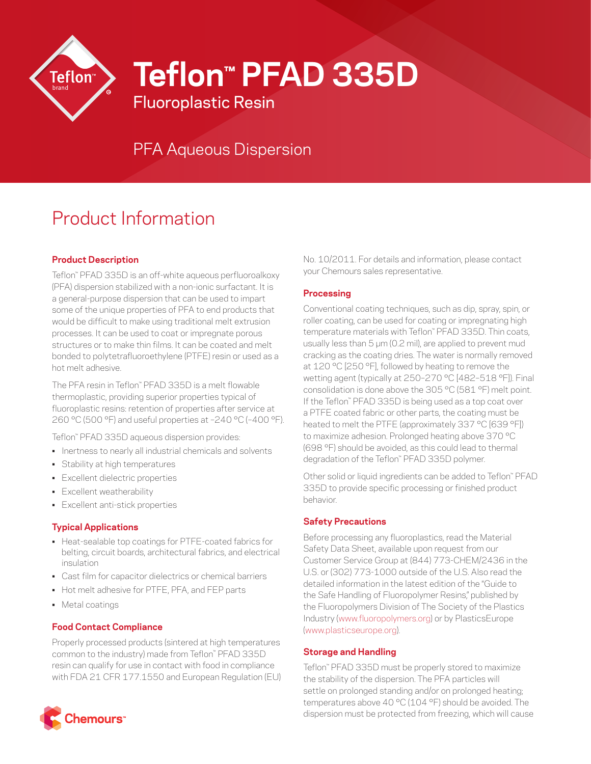

**Teflon™ PFAD 335D**

Fluoroplastic Resin

# PFA Aqueous Dispersion

# Product Information

# **Product Description**

Teflon™ PFAD 335D is an off-white aqueous perfluoroalkoxy (PFA) dispersion stabilized with a non-ionic surfactant. It is a general-purpose dispersion that can be used to impart some of the unique properties of PFA to end products that would be difficult to make using traditional melt extrusion processes. It can be used to coat or impregnate porous structures or to make thin films. It can be coated and melt bonded to polytetrafluoroethylene (PTFE) resin or used as a hot melt adhesive.

The PFA resin in Teflon™ PFAD 335D is a melt flowable thermoplastic, providing superior properties typical of fluoroplastic resins: retention of properties after service at 260 °C (500 °F) and useful properties at –240 °C (–400 °F).

Teflon™ PFAD 335D aqueous dispersion provides:

- Inertness to nearly all industrial chemicals and solvents
- Stability at high temperatures
- Excellent dielectric properties
- Excellent weatherability
- Excellent anti-stick properties

## **Typical Applications**

- Heat-sealable top coatings for PTFE-coated fabrics for belting, circuit boards, architectural fabrics, and electrical insulation
- Cast film for capacitor dielectrics or chemical barriers
- Hot melt adhesive for PTFE, PFA, and FEP parts
- Metal coatings

## **Food Contact Compliance**

Properly processed products (sintered at high temperatures common to the industry) made from Teflon™ PFAD 335D resin can qualify for use in contact with food in compliance with FDA 21 CFR 177.1550 and European Regulation (EU)



#### **Processing**

Conventional coating techniques, such as dip, spray, spin, or roller coating, can be used for coating or impregnating high temperature materials with Teflon™ PFAD 335D. Thin coats, usually less than 5 µm (0.2 mil), are applied to prevent mud cracking as the coating dries. The water is normally removed at 120 °C [250 °F], followed by heating to remove the wetting agent (typically at 250–270 °C [482–518 °F]). Final consolidation is done above the 305 °C (581 °F) melt point. If the Teflon™ PFAD 335D is being used as a top coat over a PTFE coated fabric or other parts, the coating must be heated to melt the PTFE (approximately 337 °C [639 °F]) to maximize adhesion. Prolonged heating above 370 °C (698 °F) should be avoided, as this could lead to thermal degradation of the Teflon™ PFAD 335D polymer.

Other solid or liquid ingredients can be added to Teflon™ PFAD 335D to provide specific processing or finished product behavior.

#### **Safety Precautions**

Before processing any fluoroplastics, read the Material Safety Data Sheet, available upon request from our Customer Service Group at (844) 773-CHEM/2436 in the U.S. or (302) 773-1000 outside of the U.S. Also read the detailed information in the latest edition of the "Guide to the Safe Handling of Fluoropolymer Resins," published by the Fluoropolymers Division of The Society of the Plastics Industry ([www.fluoropolymers.org](http://www.fluoropolymers.org)) or by PlasticsEurope [\(www.plasticseurope.org](http://www.plasticseurope.org)).

#### **Storage and Handling**

Teflon™ PFAD 335D must be properly stored to maximize the stability of the dispersion. The PFA particles will settle on prolonged standing and/or on prolonged heating; temperatures above 40  $^{\circ}$ C (104  $^{\circ}$ F) should be avoided. The dispersion must be protected from freezing, which will cause